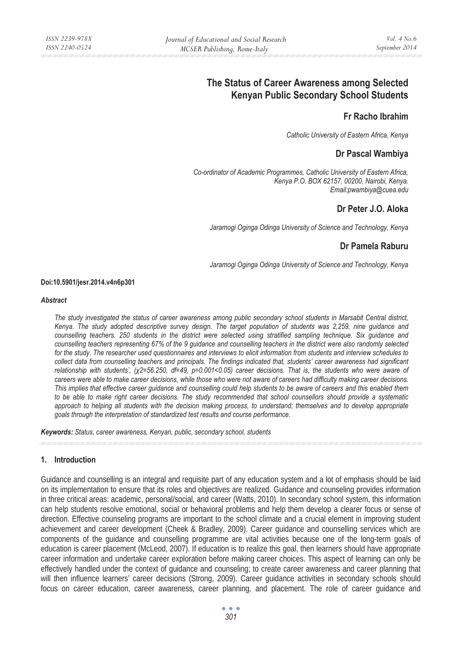# **The Status of Career Awareness among Selected Kenyan Public Secondary School Students**

## **Fr Racho Ibrahim**

*Catholic University of Eastern Africa, Kenya* 

# **Dr Pascal Wambiya**

*Co-ordinator of Academic Programmes, Catholic University of Eastern Africa, Kenya P.O. BOX 62157, 00200, Nairobi, Kenya. Email:pwambiya@cuea.edu* 

# **Dr Peter J.O. Aloka**

*Jaramogi Oginga Odinga University of Science and Technology, Kenya* 

## **Dr Pamela Raburu**

*Jaramogi Oginga Odinga University of Science and Technology, Kenya* 

#### **Doi:10.5901/jesr.2014.v4n6p301**

#### *Abstract*

*The study investigated the status of career awareness among public secondary school students in Marsabit Central district, Kenya. The study adopted descriptive survey design. The target population of students was 2,259, nine guidance and counselling teachers. 250 students in the district were selected using stratified sampling technique. Six guidance and counselling teachers representing 67% of the 9 guidance and counselling teachers in the district were also randomly selected for the study. The researcher used questionnaires and interviews to elicit information from students and interview schedules to collect data from counselling teachers and principals. The findings indicated that, students' career awareness had significant relationship with students', (Ȥ2=56.250, df=49, p=0.001<0.05) career decisions. That is, the students who were aware of careers were able to make career decisions, while those who were not aware of careers had difficulty making career decisions. This implies that effective career guidance and counselling could help students to be aware of careers and this enabled them to be able to make right career decisions. The study recommended that school counsellors should provide a systematic approach to helping all students with the decision making process, to understand; themselves and to develop appropriate goals through the interpretation of standardized test results and course performance.* 

*Keywords: Status, career awareness, Kenyan, public, secondary school, students*

### **1. Introduction**

Guidance and counselling is an integral and requisite part of any education system and a lot of emphasis should be laid on its implementation to ensure that its roles and objectives are realized. Guidance and counseling provides information in three critical areas: academic, personal/social, and career (Watts, 2010). In secondary school system, this information can help students resolve emotional, social or behavioral problems and help them develop a clearer focus or sense of direction. Effective counseling programs are important to the school climate and a crucial element in improving student achievement and career development (Cheek & Bradley, 2009). Career guidance and counselling services which are components of the guidance and counselling programme are vital activities because one of the long-term goals of education is career placement (McLeod, 2007). If education is to realize this goal, then learners should have appropriate career information and undertake career exploration before making career choices. This aspect of learning can only be effectively handled under the context of guidance and counseling; to create career awareness and career planning that will then influence learners' career decisions (Strong, 2009). Career guidance activities in secondary schools should focus on career education, career awareness, career planning, and placement. The role of career guidance and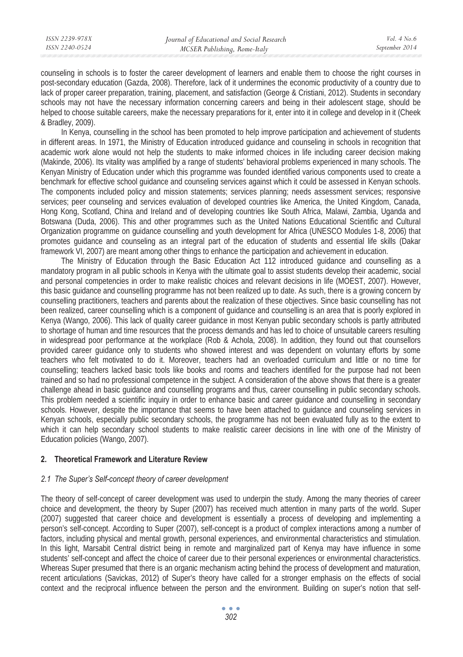counseling in schools is to foster the career development of learners and enable them to choose the right courses in post-secondary education (Gazda, 2008). Therefore, lack of it undermines the economic productivity of a country due to lack of proper career preparation, training, placement, and satisfaction (George & Cristiani, 2012). Students in secondary schools may not have the necessary information concerning careers and being in their adolescent stage, should be helped to choose suitable careers, make the necessary preparations for it, enter into it in college and develop in it (Cheek & Bradley, 2009).

In Kenya, counselling in the school has been promoted to help improve participation and achievement of students in different areas. In 1971, the Ministry of Education introduced guidance and counseling in schools in recognition that academic work alone would not help the students to make informed choices in life including career decision making (Makinde, 2006). Its vitality was amplified by a range of students' behavioral problems experienced in many schools. The Kenyan Ministry of Education under which this programme was founded identified various components used to create a benchmark for effective school guidance and counseling services against which it could be assessed in Kenyan schools. The components included policy and mission statements; services planning; needs assessment services; responsive services; peer counseling and services evaluation of developed countries like America, the United Kingdom, Canada, Hong Kong, Scotland, China and Ireland and of developing countries like South Africa, Malawi, Zambia, Uganda and Botswana (Duda, 2006). This and other programmes such as the United Nations Educational Scientific and Cultural Organization programme on guidance counselling and youth development for Africa (UNESCO Modules 1-8, 2006) that promotes guidance and counseling as an integral part of the education of students and essential life skills (Dakar framework VI, 2007) are meant among other things to enhance the participation and achievement in education.

The Ministry of Education through the Basic Education Act 112 introduced guidance and counselling as a mandatory program in all public schools in Kenya with the ultimate goal to assist students develop their academic, social and personal competencies in order to make realistic choices and relevant decisions in life (MOEST, 2007). However, this basic guidance and counselling programme has not been realized up to date. As such, there is a growing concern by counselling practitioners, teachers and parents about the realization of these objectives. Since basic counselling has not been realized, career counselling which is a component of guidance and counselling is an area that is poorly explored in Kenya (Wango, 2006). This lack of quality career guidance in most Kenyan public secondary schools is partly attributed to shortage of human and time resources that the process demands and has led to choice of unsuitable careers resulting in widespread poor performance at the workplace (Rob & Achola, 2008). In addition, they found out that counsellors provided career guidance only to students who showed interest and was dependent on voluntary efforts by some teachers who felt motivated to do it. Moreover, teachers had an overloaded curriculum and little or no time for counselling; teachers lacked basic tools like books and rooms and teachers identified for the purpose had not been trained and so had no professional competence in the subject. A consideration of the above shows that there is a greater challenge ahead in basic guidance and counselling programs and thus, career counselling in public secondary schools. This problem needed a scientific inquiry in order to enhance basic and career guidance and counselling in secondary schools. However, despite the importance that seems to have been attached to guidance and counseling services in Kenyan schools, especially public secondary schools, the programme has not been evaluated fully as to the extent to which it can help secondary school students to make realistic career decisions in line with one of the Ministry of Education policies (Wango, 2007).

### **2. Theoretical Framework and Literature Review**

### *2.1 The Super's Self-concept theory of career development*

The theory of self-concept of career development was used to underpin the study. Among the many theories of career choice and development, the theory by Super (2007) has received much attention in many parts of the world. Super (2007) suggested that career choice and development is essentially a process of developing and implementing a person's self-concept. According to Super (2007), self-concept is a product of complex interactions among a number of factors, including physical and mental growth, personal experiences, and environmental characteristics and stimulation. In this light, Marsabit Central district being in remote and marginalized part of Kenya may have influence in some students' self-concept and affect the choice of career due to their personal experiences or environmental characteristics. Whereas Super presumed that there is an organic mechanism acting behind the process of development and maturation, recent articulations (Savickas, 2012) of Super's theory have called for a stronger emphasis on the effects of social context and the reciprocal influence between the person and the environment. Building on super's notion that self-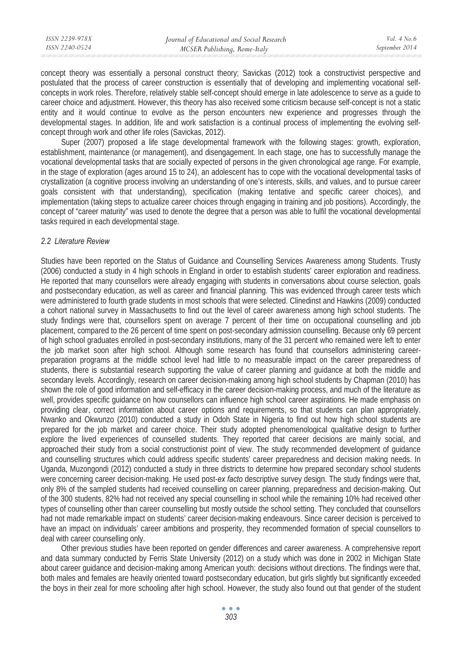| ISSN 2239-978X | Journal of Educational and Social Research | <i>Vol.</i> 4 $No.6$ |
|----------------|--------------------------------------------|----------------------|
| ISSN 2240-0524 | MCSER Publishing, Rome-Italy               | September 2014       |
|                |                                            |                      |

concept theory was essentially a personal construct theory; Savickas (2012) took a constructivist perspective and postulated that the process of career construction is essentially that of developing and implementing vocational selfconcepts in work roles. Therefore, relatively stable self-concept should emerge in late adolescence to serve as a guide to career choice and adjustment. However, this theory has also received some criticism because self-concept is not a static entity and it would continue to evolve as the person encounters new experience and progresses through the developmental stages. In addition, life and work satisfaction is a continual process of implementing the evolving selfconcept through work and other life roles (Savickas, 2012).

Super (2007) proposed a life stage developmental framework with the following stages: growth, exploration, establishment, maintenance (or management), and disengagement. In each stage, one has to successfully manage the vocational developmental tasks that are socially expected of persons in the given chronological age range. For example, in the stage of exploration (ages around 15 to 24), an adolescent has to cope with the vocational developmental tasks of crystallization (a cognitive process involving an understanding of one's interests, skills, and values, and to pursue career goals consistent with that understanding), specification (making tentative and specific career choices), and implementation (taking steps to actualize career choices through engaging in training and job positions). Accordingly, the concept of "career maturity" was used to denote the degree that a person was able to fulfil the vocational developmental tasks required in each developmental stage.

### *2.2 Literature Review*

Studies have been reported on the Status of Guidance and Counselling Services Awareness among Students. Trusty (2006) conducted a study in 4 high schools in England in order to establish students' career exploration and readiness. He reported that many counsellors were already engaging with students in conversations about course selection, goals and postsecondary education, as well as career and financial planning. This was evidenced through career tests which were administered to fourth grade students in most schools that were selected. Clinedinst and Hawkins (2009) conducted a cohort national survey in Massachusetts to find out the level of career awareness among high school students. The study findings were that, counsellors spent on average 7 percent of their time on occupational counselling and job placement, compared to the 26 percent of time spent on post-secondary admission counselling. Because only 69 percent of high school graduates enrolled in post-secondary institutions, many of the 31 percent who remained were left to enter the job market soon after high school. Although some research has found that counsellors administering careerpreparation programs at the middle school level had little to no measurable impact on the career preparedness of students, there is substantial research supporting the value of career planning and guidance at both the middle and secondary levels. Accordingly, research on career decision-making among high school students by Chapman (2010) has shown the role of good information and self-efficacy in the career decision-making process, and much of the literature as well, provides specific guidance on how counsellors can influence high school career aspirations. He made emphasis on providing clear, correct information about career options and requirements, so that students can plan appropriately. Nwanko and Okwunzo (2010) conducted a study in Odoh State in Nigeria to find out how high school students are prepared for the job market and career choice. Their study adopted phenomenological qualitative design to further explore the lived experiences of counselled students. They reported that career decisions are mainly social, and approached their study from a social constructionist point of view. The study recommended development of guidance and counselling structures which could address specific students' career preparedness and decision making needs. In Uganda, Muzongondi (2012) conducted a study in three districts to determine how prepared secondary school students were concerning career decision-making. He used post-*ex facto* descriptive survey design. The study findings were that, only 8% of the sampled students had received counselling on career planning, preparedness and decision-making. Out of the 300 students, 82% had not received any special counselling in school while the remaining 10% had received other types of counselling other than career counselling but mostly outside the school setting. They concluded that counsellors had not made remarkable impact on students' career decision-making endeavours. Since career decision is perceived to have an impact on individuals' career ambitions and prosperity, they recommended formation of special counsellors to deal with career counselling only.

Other previous studies have been reported on gender differences and career awareness. A comprehensive report and data summary conducted by Ferris State University (2012) on a study which was done in 2002 in Michigan State about career guidance and decision-making among American youth: decisions without directions. The findings were that, both males and females are heavily oriented toward postsecondary education, but girls slightly but significantly exceeded the boys in their zeal for more schooling after high school. However, the study also found out that gender of the student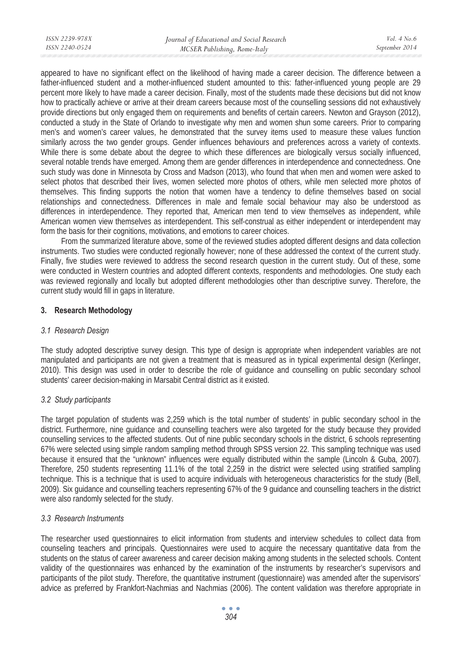appeared to have no significant effect on the likelihood of having made a career decision. The difference between a father-influenced student and a mother-influenced student amounted to this: father-influenced young people are 29 percent more likely to have made a career decision. Finally, most of the students made these decisions but did not know how to practically achieve or arrive at their dream careers because most of the counselling sessions did not exhaustively provide directions but only engaged them on requirements and benefits of certain careers. Newton and Grayson (2012), conducted a study in the State of Orlando to investigate why men and women shun some careers. Prior to comparing men's and women's career values, he demonstrated that the survey items used to measure these values function similarly across the two gender groups. Gender influences behaviours and preferences across a variety of contexts. While there is some debate about the degree to which these differences are biologically versus socially influenced, several notable trends have emerged. Among them are gender differences in interdependence and connectedness. One such study was done in Minnesota by Cross and Madson (2013), who found that when men and women were asked to select photos that described their lives, women selected more photos of others, while men selected more photos of themselves. This finding supports the notion that women have a tendency to define themselves based on social relationships and connectedness. Differences in male and female social behaviour may also be understood as differences in interdependence. They reported that, American men tend to view themselves as independent, while American women view themselves as interdependent. This self-construal as either independent or interdependent may form the basis for their cognitions, motivations, and emotions to career choices.

From the summarized literature above, some of the reviewed studies adopted different designs and data collection instruments. Two studies were conducted regionally however; none of these addressed the context of the current study. Finally, five studies were reviewed to address the second research question in the current study. Out of these, some were conducted in Western countries and adopted different contexts, respondents and methodologies. One study each was reviewed regionally and locally but adopted different methodologies other than descriptive survey. Therefore, the current study would fill in gaps in literature.

## **3. Research Methodology**

### *3.1 Research Design*

The study adopted descriptive survey design. This type of design is appropriate when independent variables are not manipulated and participants are not given a treatment that is measured as in typical experimental design (Kerlinger, 2010). This design was used in order to describe the role of guidance and counselling on public secondary school students' career decision-making in Marsabit Central district as it existed.

## *3.2 Study participants*

The target population of students was 2,259 which is the total number of students' in public secondary school in the district. Furthermore, nine guidance and counselling teachers were also targeted for the study because they provided counselling services to the affected students. Out of nine public secondary schools in the district, 6 schools representing 67% were selected using simple random sampling method through SPSS version 22. This sampling technique was used because it ensured that the "unknown" influences were equally distributed within the sample (Lincoln & Guba, 2007). Therefore, 250 students representing 11.1% of the total 2,259 in the district were selected using stratified sampling technique. This is a technique that is used to acquire individuals with heterogeneous characteristics for the study (Bell, 2009). Six guidance and counselling teachers representing 67% of the 9 guidance and counselling teachers in the district were also randomly selected for the study.

### *3.3 Research Instruments*

The researcher used questionnaires to elicit information from students and interview schedules to collect data from counseling teachers and principals. Questionnaires were used to acquire the necessary quantitative data from the students on the status of career awareness and career decision making among students in the selected schools. Content validity of the questionnaires was enhanced by the examination of the instruments by researcher's supervisors and participants of the pilot study. Therefore, the quantitative instrument (questionnaire) was amended after the supervisors' advice as preferred by Frankfort-Nachmias and Nachmias (2006). The content validation was therefore appropriate in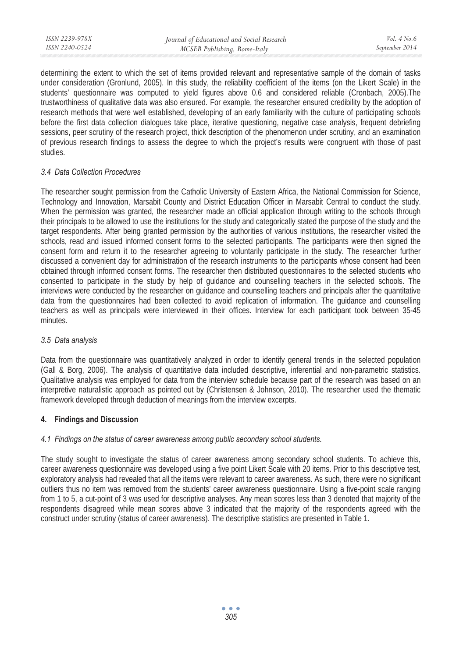determining the extent to which the set of items provided relevant and representative sample of the domain of tasks under consideration (Gronlund, 2005). In this study, the reliability coefficient of the items (on the Likert Scale) in the students' questionnaire was computed to yield figures above 0.6 and considered reliable (Cronbach, 2005).The trustworthiness of qualitative data was also ensured. For example, the researcher ensured credibility by the adoption of research methods that were well established, developing of an early familiarity with the culture of participating schools before the first data collection dialogues take place, iterative questioning, negative case analysis, frequent debriefing sessions, peer scrutiny of the research project, thick description of the phenomenon under scrutiny, and an examination of previous research findings to assess the degree to which the project's results were congruent with those of past studies.

### *3.4 Data Collection Procedures*

The researcher sought permission from the Catholic University of Eastern Africa, the National Commission for Science, Technology and Innovation, Marsabit County and District Education Officer in Marsabit Central to conduct the study. When the permission was granted, the researcher made an official application through writing to the schools through their principals to be allowed to use the institutions for the study and categorically stated the purpose of the study and the target respondents. After being granted permission by the authorities of various institutions, the researcher visited the schools, read and issued informed consent forms to the selected participants. The participants were then signed the consent form and return it to the researcher agreeing to voluntarily participate in the study. The researcher further discussed a convenient day for administration of the research instruments to the participants whose consent had been obtained through informed consent forms. The researcher then distributed questionnaires to the selected students who consented to participate in the study by help of guidance and counselling teachers in the selected schools. The interviews were conducted by the researcher on guidance and counselling teachers and principals after the quantitative data from the questionnaires had been collected to avoid replication of information. The guidance and counselling teachers as well as principals were interviewed in their offices. Interview for each participant took between 35-45 minutes.

### *3.5 Data analysis*

Data from the questionnaire was quantitatively analyzed in order to identify general trends in the selected population (Gall & Borg, 2006). The analysis of quantitative data included descriptive, inferential and non-parametric statistics. Qualitative analysis was employed for data from the interview schedule because part of the research was based on an interpretive naturalistic approach as pointed out by (Christensen & Johnson, 2010). The researcher used the thematic framework developed through deduction of meanings from the interview excerpts.

## **4. Findings and Discussion**

## *4.1 Findings on the status of career awareness among public secondary school students.*

The study sought to investigate the status of career awareness among secondary school students. To achieve this, career awareness questionnaire was developed using a five point Likert Scale with 20 items. Prior to this descriptive test, exploratory analysis had revealed that all the items were relevant to career awareness. As such, there were no significant outliers thus no item was removed from the students' career awareness questionnaire. Using a five-point scale ranging from 1 to 5, a cut-point of 3 was used for descriptive analyses. Any mean scores less than 3 denoted that majority of the respondents disagreed while mean scores above 3 indicated that the majority of the respondents agreed with the construct under scrutiny (status of career awareness). The descriptive statistics are presented in Table 1.

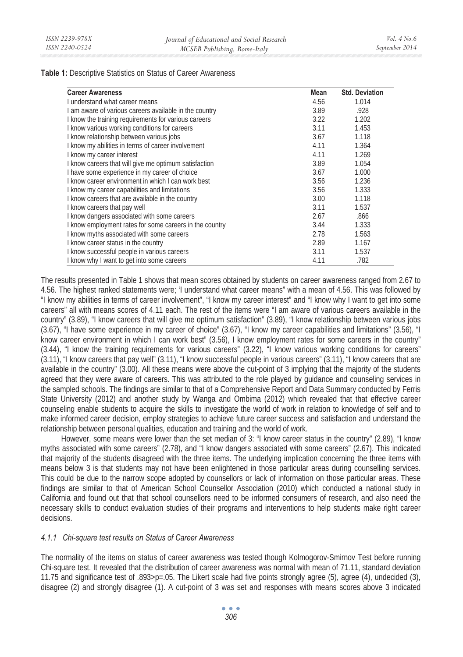**Table 1:** Descriptive Statistics on Status of Career Awareness

| <b>Career Awareness</b>                                 | Mean | <b>Std. Deviation</b> |
|---------------------------------------------------------|------|-----------------------|
| Lunderstand what career means                           | 4.56 | 1.014                 |
| I am aware of various careers available in the country  | 3.89 | .928                  |
| I know the training requirements for various careers    | 3.22 | 1.202                 |
| I know various working conditions for careers           | 3.11 | 1.453                 |
| I know relationship between various jobs                | 3.67 | 1.118                 |
| I know my abilities in terms of career involvement      | 4.11 | 1.364                 |
| I know my career interest                               | 4.11 | 1.269                 |
| I know careers that will give me optimum satisfaction   | 3.89 | 1.054                 |
| I have some experience in my career of choice           | 3.67 | 1.000                 |
| I know career environment in which I can work best      | 3.56 | 1.236                 |
| I know my career capabilities and limitations           | 3.56 | 1.333                 |
| I know careers that are available in the country        | 3.00 | 1.118                 |
| I know careers that pay well                            | 3.11 | 1.537                 |
| I know dangers associated with some careers             | 2.67 | .866                  |
| I know employment rates for some careers in the country | 3.44 | 1.333                 |
| I know myths associated with some careers               | 2.78 | 1.563                 |
| I know career status in the country                     | 2.89 | 1.167                 |
| I know successful people in various careers             | 3.11 | 1.537                 |
| I know why I want to get into some careers              | 4.11 | .782                  |

The results presented in Table 1 shows that mean scores obtained by students on career awareness ranged from 2.67 to 4.56. The highest ranked statements were; 'I understand what career means" with a mean of 4.56. This was followed by "I know my abilities in terms of career involvement", "I know my career interest" and "I know why I want to get into some careers" all with means scores of 4.11 each. The rest of the items were "I am aware of various careers available in the country" (3.89), "I know careers that will give me optimum satisfaction" (3.89), "I know relationship between various jobs (3.67), "I have some experience in my career of choice" (3.67), "I know my career capabilities and limitations" (3.56), "I know career environment in which I can work best" (3.56), I know employment rates for some careers in the country" (3.44), "I know the training requirements for various careers" (3.22), "I know various working conditions for careers" (3.11), "I know careers that pay well" (3.11), "I know successful people in various careers" (3.11), "I know careers that are available in the country" (3.00). All these means were above the cut-point of 3 implying that the majority of the students agreed that they were aware of careers. This was attributed to the role played by guidance and counseling services in the sampled schools. The findings are similar to that of a Comprehensive Report and Data Summary conducted by Ferris State University (2012) and another study by Wanga and Ombima (2012) which revealed that that effective career counseling enable students to acquire the skills to investigate the world of work in relation to knowledge of self and to make informed career decision, employ strategies to achieve future career success and satisfaction and understand the relationship between personal qualities, education and training and the world of work.

However, some means were lower than the set median of 3: "I know career status in the country" (2.89), "I know myths associated with some careers" (2.78), and "I know dangers associated with some careers" (2.67). This indicated that majority of the students disagreed with the three items. The underlying implication concerning the three items with means below 3 is that students may not have been enlightened in those particular areas during counselling services. This could be due to the narrow scope adopted by counsellors or lack of information on those particular areas. These findings are similar to that of American School Counsellor Association (2010) which conducted a national study in California and found out that that school counsellors need to be informed consumers of research, and also need the necessary skills to conduct evaluation studies of their programs and interventions to help students make right career decisions.

### *4.1.1 Chi-square test results on Status of Career Awareness*

The normality of the items on status of career awareness was tested though Kolmogorov-Smirnov Test before running Chi-square test. It revealed that the distribution of career awareness was normal with mean of 71.11, standard deviation 11.75 and significance test of .893>p=.05. The Likert scale had five points strongly agree (5), agree (4), undecided (3), disagree (2) and strongly disagree (1). A cut-point of 3 was set and responses with means scores above 3 indicated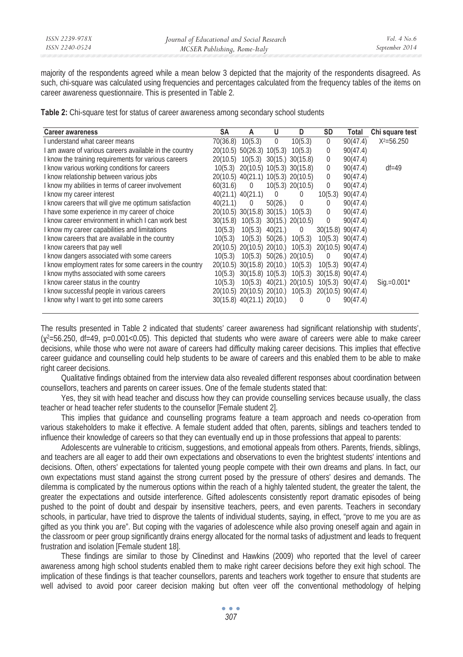majority of the respondents agreed while a mean below 3 depicted that the majority of the respondents disagreed. As such, chi-square was calculated using frequencies and percentages calculated from the frequency tables of the items on career awareness questionnaire. This is presented in Table 2.

**Table 2:** Chi-square test for status of career awareness among secondary school students

| <b>Career awareness</b>                                 | SΑ       | A                                  | U            | D                              | SD          | Total                 | Chi square test |
|---------------------------------------------------------|----------|------------------------------------|--------------|--------------------------------|-------------|-----------------------|-----------------|
| I understand what career means                          | 70(36.8) | 10(5.3)                            | $\mathbf{0}$ | 10(5.3)                        | $\mathbf 0$ | 90(47.4)              | $X^2 = 56.250$  |
| I am aware of various careers available in the country  |          | 20(10.5) 50(26.3) 10(5.3)          |              | 10(5.3)                        | 0           | 90(47.4)              |                 |
| I know the training requirements for various careers    | 20(10.5) |                                    |              | $10(5.3)$ $30(15.)$ $30(15.8)$ | $\Omega$    | 90(47.4)              |                 |
| I know various working conditions for careers           | 10(5.3)  | 20(10.5) 10(5.3) 30(15.8)          |              |                                | $\Omega$    | 90(47.4)              | $df = 49$       |
| I know relationship between various jobs                |          | 20(10.5) 40(21.1) 10(5.3) 20(10.5) |              |                                | $\Omega$    | 90(47.4)              |                 |
| I know my abilities in terms of career involvement      | 60(31.6) | $\mathbf 0$                        |              | $10(5.3)$ $20(10.5)$           | 0           | 90(47.4)              |                 |
| I know my career interest                               |          | 40(21.1) 40(21.1)                  | $\Omega$     | $\Omega$                       | 10(5.3)     | 90(47.4)              |                 |
| I know careers that will give me optimum satisfaction   | 40(21.1) | $\mathbf 0$                        | 50(26.)      | 0                              | 0           | 90(47.4)              |                 |
| I have some experience in my career of choice           |          | 20(10.5) 30(15.8) 30(15.)          |              | 10(5.3)                        | $\Omega$    | 90(47.4)              |                 |
| I know career environment in which I can work best      | 30(15.8) | 10(5.3)                            |              | 30(15.) 20(10.5)               | 0           | 90(47.4)              |                 |
| I know my career capabilities and limitations           | 10(5.3)  | 10(5.3)                            | 40(21.)      | $\mathbf 0$                    |             | 30(15.8) 90(47.4)     |                 |
| I know careers that are available in the country        | 10(5.3)  | 10(5.3)                            | 50(26)       | 10(5.3)                        |             | $10(5.3)$ $90(47.4)$  |                 |
| I know careers that pay well                            | 20(10.5) | 20(10.5) 20(10.)                   |              | 10(5.3)                        |             | 20(10.5) 90(47.4)     |                 |
| I know dangers associated with some careers             | 10(5.3)  |                                    |              | $10(5.3)$ $50(26.)$ $20(10.5)$ | $\mathbf 0$ | 90(47.4)              |                 |
| I know employment rates for some careers in the country |          | 20(10.5) 30(15.8) 20(10.)          |              | 10(5.3)                        | 10(5.3)     | 90(47.4)              |                 |
| I know myths associated with some careers               | 10(5.3)  | 30(15.8) 10(5.3)                   |              | 10(5.3)                        |             | $30(15.8)$ $90(47.4)$ |                 |
| I know career status in the country                     | 10(5.3)  |                                    |              | 10(5.3) 40(21.) 20(10.5)       |             | $10(5.3)$ $90(47.4)$  | $Siq.=0.001*$   |
| I know successful people in various careers             |          | 20(10.5) 20(10.5) 20(10.)          |              | 10(5.3)                        |             | 20(10.5) 90(47.4)     |                 |
| I know why I want to get into some careers              |          | 30(15.8) 40(21.1) 20(10.)          |              | $\mathbf 0$                    | 0           | 90(47.4)              |                 |

The results presented in Table 2 indicated that students' career awareness had significant relationship with students',  $(\chi^2=56.250, \text{ df}=49, \text{ p}=0.001<0.05)$ . This depicted that students who were aware of careers were able to make career decisions, while those who were not aware of careers had difficulty making career decisions. This implies that effective career guidance and counselling could help students to be aware of careers and this enabled them to be able to make right career decisions.

Qualitative findings obtained from the interview data also revealed different responses about coordination between counsellors, teachers and parents on career issues. One of the female students stated that:

Yes, they sit with head teacher and discuss how they can provide counselling services because usually, the class teacher or head teacher refer students to the counsellor [Female student 2].

This implies that guidance and counselling programs feature a team approach and needs co-operation from various stakeholders to make it effective. A female student added that often, parents, siblings and teachers tended to influence their knowledge of careers so that they can eventually end up in those professions that appeal to parents:

Adolescents are vulnerable to criticism, suggestions, and emotional appeals from others. Parents, friends, siblings, and teachers are all eager to add their own expectations and observations to even the brightest students' intentions and decisions. Often, others' expectations for talented young people compete with their own dreams and plans. In fact, our own expectations must stand against the strong current posed by the pressure of others' desires and demands. The dilemma is complicated by the numerous options within the reach of a highly talented student, the greater the talent, the greater the expectations and outside interference. Gifted adolescents consistently report dramatic episodes of being pushed to the point of doubt and despair by insensitive teachers, peers, and even parents. Teachers in secondary schools, in particular, have tried to disprove the talents of individual students, saying, in effect, "prove to me you are as gifted as you think you are". But coping with the vagaries of adolescence while also proving oneself again and again in the classroom or peer group significantly drains energy allocated for the normal tasks of adjustment and leads to frequent frustration and isolation [Female student 18].

These findings are similar to those by Clinedinst and Hawkins (2009) who reported that the level of career awareness among high school students enabled them to make right career decisions before they exit high school. The implication of these findings is that teacher counsellors, parents and teachers work together to ensure that students are well advised to avoid poor career decision making but often veer off the conventional methodology of helping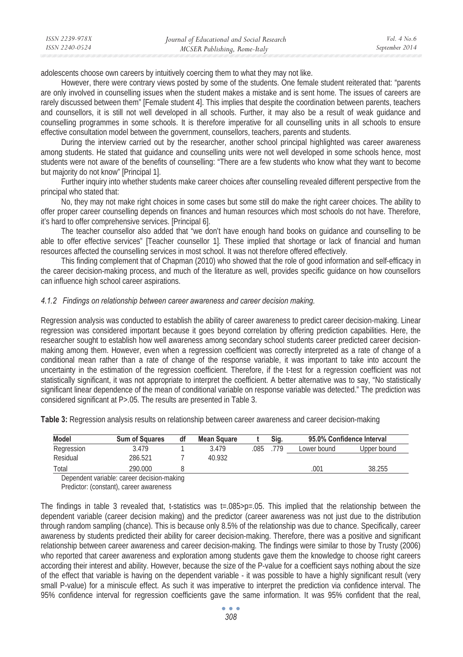| ISSN 2239-978X | Journal of Educational and Social Research | <i>Vol.</i> 4 No. 6 |
|----------------|--------------------------------------------|---------------------|
| ISSN 2240-0524 | MCSER Publishing, Rome-Italy               | September 2014      |
|                |                                            |                     |

adolescents choose own careers by intuitively coercing them to what they may not like.

However, there were contrary views posted by some of the students. One female student reiterated that: "parents are only involved in counselling issues when the student makes a mistake and is sent home. The issues of careers are rarely discussed between them" [Female student 4]. This implies that despite the coordination between parents, teachers and counsellors, it is still not well developed in all schools. Further, it may also be a result of weak guidance and counselling programmes in some schools. It is therefore imperative for all counselling units in all schools to ensure effective consultation model between the government, counsellors, teachers, parents and students.

During the interview carried out by the researcher, another school principal highlighted was career awareness among students. He stated that guidance and counselling units were not well developed in some schools hence, most students were not aware of the benefits of counselling: "There are a few students who know what they want to become but majority do not know" [Principal 1].

Further inquiry into whether students make career choices after counselling revealed different perspective from the principal who stated that:

No, they may not make right choices in some cases but some still do make the right career choices. The ability to offer proper career counselling depends on finances and human resources which most schools do not have. Therefore, it's hard to offer comprehensive services. [Principal 6].

The teacher counsellor also added that "we don't have enough hand books on guidance and counselling to be able to offer effective services" [Teacher counsellor 1]. These implied that shortage or lack of financial and human resources affected the counselling services in most school. It was not therefore offered effectively.

This finding complement that of Chapman (2010) who showed that the role of good information and self-efficacy in the career decision-making process, and much of the literature as well, provides specific guidance on how counsellors can influence high school career aspirations.

#### *4.1.2 Findings on relationship between career awareness and career decision making.*

Regression analysis was conducted to establish the ability of career awareness to predict career decision-making. Linear regression was considered important because it goes beyond correlation by offering prediction capabilities. Here, the researcher sought to establish how well awareness among secondary school students career predicted career decisionmaking among them. However, even when a regression coefficient was correctly interpreted as a rate of change of a conditional mean rather than a rate of change of the response variable, it was important to take into account the uncertainty in the estimation of the regression coefficient. Therefore, if the t-test for a regression coefficient was not statistically significant, it was not appropriate to interpret the coefficient. A better alternative was to say, "No statistically significant linear dependence of the mean of conditional variable on response variable was detected." The prediction was considered significant at P>.05. The results are presented in Table 3.

| Model      | <b>Sum of Squares</b> | df | <b>Mean Square</b> |     | Sig. |             | 95.0% Confidence Interval |
|------------|-----------------------|----|--------------------|-----|------|-------------|---------------------------|
| Regression | 3.479                 |    | 3.479              | 085 | 779  | Lower bound | Upper bound               |
| Residual   | 286.521               |    | 40.932             |     |      |             |                           |
| Total      | 290.000               |    |                    |     |      | .001        | 38.255                    |

**Table 3:** Regression analysis results on relationship between career awareness and career decision-making

Dependent variable: career decision-making

Predictor: (constant), career awareness

The findings in table 3 revealed that, t-statistics was  $t=.085>p=.05$ . This implied that the relationship between the dependent variable (career decision making) and the predictor (career awareness was not just due to the distribution through random sampling (chance). This is because only 8.5% of the relationship was due to chance. Specifically, career awareness by students predicted their ability for career decision-making. Therefore, there was a positive and significant relationship between career awareness and career decision-making. The findings were similar to those by Trusty (2006) who reported that career awareness and exploration among students gave them the knowledge to choose right careers according their interest and ability. However, because the size of the P-value for a coefficient says nothing about the size of the effect that variable is having on the dependent variable - it was possible to have a highly significant result (very small P-value) for a miniscule effect. As such it was imperative to interpret the prediction via confidence interval. The 95% confidence interval for regression coefficients gave the same information. It was 95% confident that the real,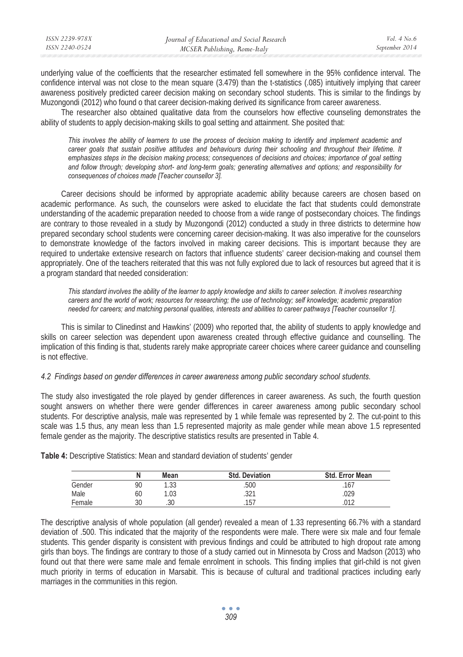| ISSN 2239-978X | Journal of Educational and Social Research | Vol. $4$ No. 6 |
|----------------|--------------------------------------------|----------------|
| ISSN 2240-0524 | MCSER Publishing, Rome-Italy               | September 2014 |
|                |                                            |                |

underlying value of the coefficients that the researcher estimated fell somewhere in the 95% confidence interval. The confidence interval was not close to the mean square (3.479) than the t-statistics (.085) intuitively implying that career awareness positively predicted career decision making on secondary school students. This is similar to the findings by Muzongondi (2012) who found o that career decision-making derived its significance from career awareness.

The researcher also obtained qualitative data from the counselors how effective counseling demonstrates the ability of students to apply decision-making skills to goal setting and attainment. She posited that:

*This involves the ability of learners to use the process of decision making to identify and implement academic and*  career goals that sustain positive attitudes and behaviours during their schooling and throughout their lifetime. It emphasizes steps in the decision making process; consequences of decisions and choices; importance of goal setting *and follow through; developing short- and long-term goals; generating alternatives and options; and responsibility for consequences of choices made [Teacher counsellor 3].* 

Career decisions should be informed by appropriate academic ability because careers are chosen based on academic performance. As such, the counselors were asked to elucidate the fact that students could demonstrate understanding of the academic preparation needed to choose from a wide range of postsecondary choices. The findings are contrary to those revealed in a study by Muzongondi (2012) conducted a study in three districts to determine how prepared secondary school students were concerning career decision-making. It was also imperative for the counselors to demonstrate knowledge of the factors involved in making career decisions. This is important because they are required to undertake extensive research on factors that influence students' career decision-making and counsel them appropriately. One of the teachers reiterated that this was not fully explored due to lack of resources but agreed that it is a program standard that needed consideration:

*This standard involves the ability of the learner to apply knowledge and skills to career selection. It involves researching careers and the world of work; resources for researching; the use of technology; self knowledge; academic preparation needed for careers; and matching personal qualities, interests and abilities to career pathways [Teacher counsellor 1].* 

This is similar to Clinedinst and Hawkins' (2009) who reported that, the ability of students to apply knowledge and skills on career selection was dependent upon awareness created through effective guidance and counselling. The implication of this finding is that, students rarely make appropriate career choices where career guidance and counselling is not effective.

### *4.2 Findings based on gender differences in career awareness among public secondary school students.*

The study also investigated the role played by gender differences in career awareness. As such, the fourth question sought answers on whether there were gender differences in career awareness among public secondary school students. For descriptive analysis, male was represented by 1 while female was represented by 2. The cut-point to this scale was 1.5 thus, any mean less than 1.5 represented majority as male gender while mean above 1.5 represented female gender as the majority. The descriptive statistics results are presented in Table 4.

|        | Ν  | Mean | <b>Std. Deviation</b> | <b>Std. Error Mean</b> |
|--------|----|------|-----------------------|------------------------|
| Gender | 90 | .33  | .500                  | .167                   |
| Male   | 60 | .03  | つつ1<br>.JZ I          | .029                   |
| Female | 30 | .30  | 157                   | በ1 ን                   |

**Table 4:** Descriptive Statistics: Mean and standard deviation of students' gender

The descriptive analysis of whole population (all gender) revealed a mean of 1.33 representing 66.7% with a standard deviation of .500. This indicated that the majority of the respondents were male. There were six male and four female students. This gender disparity is consistent with previous findings and could be attributed to high dropout rate among girls than boys. The findings are contrary to those of a study carried out in Minnesota by Cross and Madson (2013) who found out that there were same male and female enrolment in schools. This finding implies that girl-child is not given much priority in terms of education in Marsabit. This is because of cultural and traditional practices including early marriages in the communities in this region.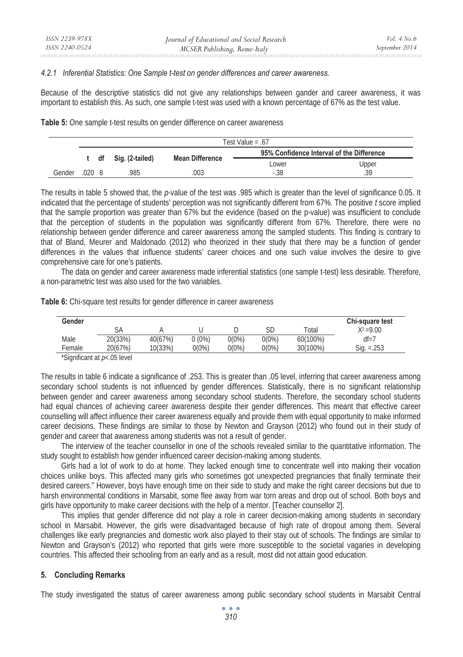### *4.2.1 Inferential Statistics: One Sample t-test on gender differences and career awareness.*

Because of the descriptive statistics did not give any relationships between gander and career awareness, it was important to establish this. As such, one sample t-test was used with a known percentage of 67% as the test value.

**Table 5:** One sample t-test results on gender difference on career awareness

|        | Test Value = $.67$ |  |                      |                        |                                           |       |  |  |
|--------|--------------------|--|----------------------|------------------------|-------------------------------------------|-------|--|--|
|        |                    |  |                      |                        | 95% Confidence Interval of the Difference |       |  |  |
|        |                    |  | t df Sig. (2-tailed) | <b>Mean Difference</b> | Lower                                     | Upper |  |  |
| Gender | .020 8             |  | 985                  | 003                    | $-.38$                                    | .39   |  |  |

The results in table 5 showed that, the *p*-value of the test was .985 which is greater than the level of significance 0.05. It indicated that the percentage of students' perception was not significantly different from 67%. The positive *t* score implied that the sample proportion was greater than 67% but the evidence (based on the p-value) was insufficient to conclude that the perception of students in the population was significantly different from 67%. Therefore, there were no relationship between gender difference and career awareness among the sampled students. This finding is contrary to that of Bland, Meurer and Maldonado (2012) who theorized in their study that there may be a function of gender differences in the values that influence students' career choices and one such value involves the desire to give comprehensive care for one's patients.

The data on gender and career awareness made inferential statistics (one sample t-test) less desirable. Therefore, a non-parametric test was also used for the two variables.

| Gender |         |         |          |          |          |          | Chi-square test |
|--------|---------|---------|----------|----------|----------|----------|-----------------|
|        | SА      |         |          |          | SD       | Total    | $X^2 = 9.00$    |
| Male   | 20(33%) | 40(67%) | $0(0\%)$ | $0(0\%)$ | $0(0\%)$ | 60(100%) | $df = 7$        |
| Female | 20(67%) | 10(33%) | $0(0\%)$ | $0(0\%)$ | $0(0\%)$ | 30(100%) | $Si0 = .253$    |

**Table 6:** Chi-square test results for gender difference in career awareness

\*Significant at *p*<.05 level

The results in table 6 indicate a significance of .253. This is greater than .05 level, inferring that career awareness among secondary school students is not influenced by gender differences. Statistically, there is no significant relationship between gender and career awareness among secondary school students. Therefore, the secondary school students had equal chances of achieving career awareness despite their gender differences. This meant that effective career counselling will affect influence their career awareness equally and provide them with equal opportunity to make informed career decisions. These findings are similar to those by Newton and Grayson (2012) who found out in their study of gender and career that awareness among students was not a result of gender.

The interview of the teacher counsellor in one of the schools revealed similar to the quantitative information. The study sought to establish how gender influenced career decision-making among students.

Girls had a lot of work to do at home. They lacked enough time to concentrate well into making their vocation choices unlike boys. This affected many girls who sometimes got unexpected pregnancies that finally terminate their desired careers." However, boys have enough time on their side to study and make the right career decisions but due to harsh environmental conditions in Marsabit, some flee away from war torn areas and drop out of school. Both boys and girls have opportunity to make career decisions with the help of a mentor. [Teacher counsellor 2].

This implies that gender difference did not play a role in career decision-making among students in secondary school in Marsabit. However, the girls were disadvantaged because of high rate of dropout among them. Several challenges like early pregnancies and domestic work also played to their stay out of schools. The findings are similar to Newton and Grayson's (2012) who reported that girls were more susceptible to the societal vagaries in developing countries. This affected their schooling from an early and as a result, most did not attain good education.

### **5. Concluding Remarks**

The study investigated the status of career awareness among public secondary school students in Marsabit Central